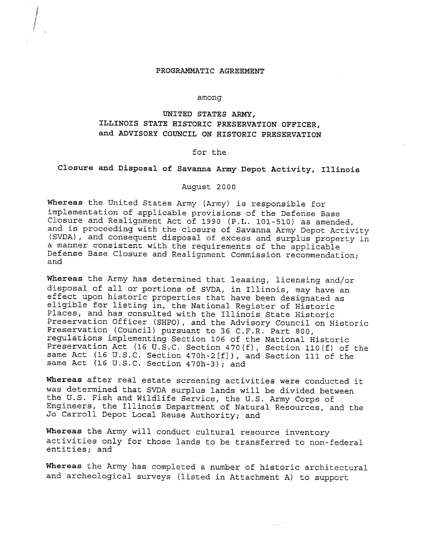#### **PROGRAMMATIC AGREEMENT**

file<br>File<br>File **Mandalon** 

#### among

## **UNITED STATES ARMY, ILLINOIS STATE HISTORIC PRESERVATION OFFICER, and ADVISORY COUNCIL ON HISTORIC PRESERVATION**

### for the

# **Closure and Disposal of Savanna Army Depot Activity, Illinois**

#### August 2000

**Whereas** the United States Army (Army) is responsible for implementation of applicable provisions of the Defense Base Closure and Realignment Act of 1990 (P.L. 101-510) as amended, and is proceeding with the closure of Savanna Army Depot Activity (SVDA), and consequent disposal of excess and surplus property in a manner consistent with the requirements of the applicable Defense Base Closure and Realignment Commission recommendation; and

**Whereas** the Army has determined that leasing, licensing and/or disposal of all or portions of SVDA, in Illinois, may have an effect upon historic properties that have been designated as eligible for listing in, the National Register of Historic Places, and has consulted with the Illinois State Historic Preservation Officer (SHPO), and the Advisory Council on Historic Preservation (Council) pursuant to 36 C.F.R. Part 800, regulations implementing Section 106 of the National Historic Preservation Act (16 U.S.C. Section 470(f), Section 110(f) of the same Act (16 U.S.C. Section 470h-2[f]), and Section 111 of the same Act (16 U.S.C. Section 470h-3); and

**Whereas** after real estate screening activities were conducted it was determined that SVDA surplus lands will be divided between the U.S. Fish and Wildlife Service, the U.S. Army Corps of Engineers, the Illinois Department of Natural Resources, and the Jo Carroll Depot Local Reuse Authority; and

**Whereas** the Army will conduct cultural resource inventory activities only for those lands to be transferred to non-federal entities; and

**Whereas** the Army has completed a number of historic architectural and archeological surveys (listed in Attachment A) to support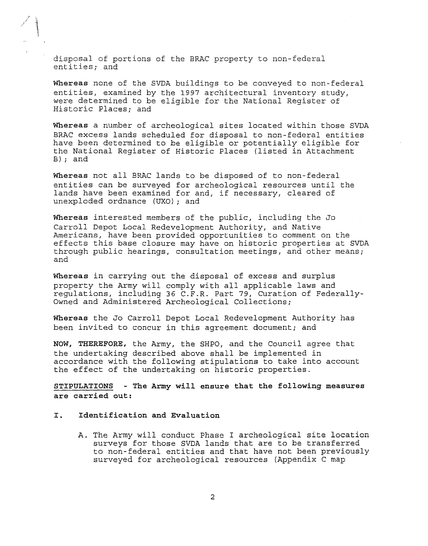disposal of portions of the BRAC property to non-federal entities; and

 $\label{eq:2}$ i

> **Whereas** none of the SVDA buildings to be conveyed to non-federal entities, examined by the 1997 architectural inventory study, were determined to be eligible for the National Register of Historic Places; and

**Whereas** a number of archeological sites located within those SVDA BRAC excess lands scheduled for disposal to non-federal entities have been determined to be eligible or potentially eligible for the National Register of Historic Places (listed in Attachment B); and

**Whereas** not all BRAC lands to be disposed of to non-federal entities can be surveyed for archeological resources until the lands have been examined for and, if necessary, cleared of unexploded ordnance (UXO); and

**Whereas** interested members of the public, including the Jo Carroll Depot Local Redevelopment Authority, and Native Americans, have been provided opportunities to comment on the effects this base closure may have on historic properties at SVDA through public hearings, consultation meetings, and other means; and

**Whereas** in carrying out the disposal of excess and surplus property the Army will comply with all applicable laws and regulations, including 36 C.F.R. Part 79, Curation of Federally-Owned and Administered Archeological Collections;

**Whereas** the Jo Carroll Depot Local Redevelopment Authority has been invited to concur in this agreement document; and

**NOW, THEREFORE,** the Army, the SHPO, and the Council agree that the undertaking described above shall be implemented in accordance with the following stipulations to take into account the effect of the undertaking on historic properties.

**STIPULATIONS - The Army will ensure that the following measures are carried out:** 

#### **I. Identification and Evaluation**

A. The Army will conduct Phase I archeological site location surveys for those SVDA lands that are to be transferred to non-federal entities and that have not been previously surveyed for archeological resources (Appendix C map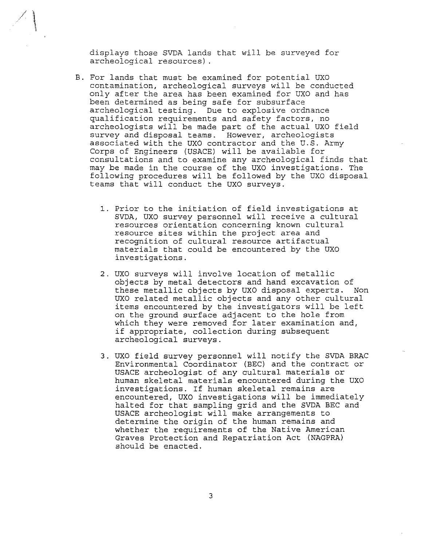displays those SVDA lands that will be surveyed for archeological resources).

 $\mathcal{L}(\mathcal{E})$ 

- B. For lands that must be examined for potential UXO contamination, archeological surveys will be conducted only after the area has been examined for UXO and has been determined as being safe for subsurface archeological testing. Due to explosive ordnance qualification requirements and safety factors, no archeologists will be made part of the actual UXO field survey and disposal teams. However, archeologists associated with the UXO contractor and the U.S. Army Corps of Engineers (USACE) will be available for consultations and to examine any archeological finds that may be made in the course of the UXO investigations. The following procedures will be followed by the UXO disposal teams that will conduct the UXO surveys.
	- 1. Prior to the initiation of field investigations at SVDA, UXO survey personnel will receive a cultural resources orientation concerning known cultural resource sites within the project area and recognition of cultural resource artifactual materials that could be encountered by the UXO investigations.
	- 2. UXO surveys will involve location of metallic objects by metal detectors and hand excavation of these metallic objects by UXO disposal experts. Non UXO related metallic objects and any other cultural items encountered by the investigators will be left on the ground surface adjacent to the hole from which they were removed for later examination and, if appropriate, collection during subsequent archeological surveys.
	- 3. UXO field survey personnel will notify the SVDA BRAC Environmental Coordinator (BEC) and the contract or USACE archeologist of any cultural materials or human skeletal materials encountered during the UXO investigations. If human skeletal remains are encountered, UXO investigations will be immediately halted for that sampling grid and the SVDA BEC and USACE archeologist will make arrangements to determine the origin of the human remains and whether the requirements of the Native American Graves Protection and Repatriation Act (NAGPRA) should be enacted.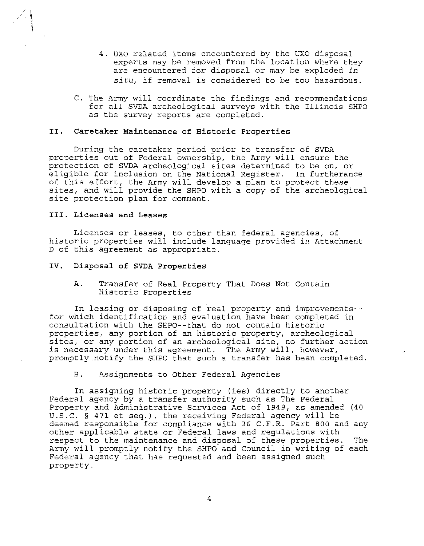- 4. UXO related items encountered by the UXO disposal experts may be removed from the location where they are encountered for disposal or may be exploded *in situ,* if removal is considered to be too hazardous.
- C. The Army will coordinate the findings and recommendations for all SVDA archeological surveys with the Illinois SHPO as the survey reports are completed.

#### II. **Caretaker Maintenance of Historic Properties**

During the caretaker period prior to transfer of SVDA properties out of Federal ownership, the Army will ensure the protection of SVDA archeological sites determined to be on, or eligible for inclusion on the National Register. In furtherance of this effort, the Army will develop a plan to protect these sites, and will provide the SHPO with a copy of the archeological site protection plan for comment.

#### **III. Licenses and Leases**

\

Licenses or leases, to other than federal agencies, of historic properties will include language provided in Attachment D of this agreement as appropriate.

#### **IV. Disposal of SVDA Properties**

A. Transfer of Real Property That Does Not Contain Historic Properties

In leasing or disposing of real property and improvements- for which identification and evaluation have been completed in consultation with the SHPO--that do not contain historic properties, any portion of an historic property, archeological sites, or any portion of an archeological site, no further action is necessary under this agreement. The Army will, however, promptly notify the SHPO that such a transfer has been completed.

#### B. Assignments to Other Federal Agencies

In assigning historic property (ies) directly to another Federal agency by a transfer authority such as The Federal Property and Administrative Services Act of 1949, as amended (40 U.S.C. § 471 et seq.), the receiving Federal agency will be deemed responsible for compliance with 36 C.F.R. Part 800 and any other applicable state or Federal laws and regulations with respect to the maintenance and disposal of these properties. The Army will promptly notify the SHPO and Council in writing of each Federal agency that has requested and been assigned such property.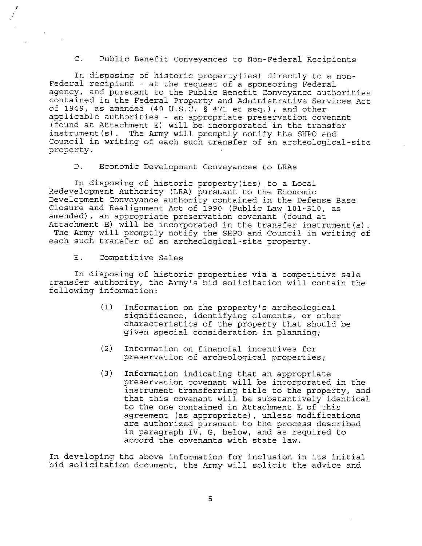C. Public Benefit Conveyances to Non-Federal Recipients

In disposing of historic property(ies) directly to a non-Federal recipient - at the request of a sponsoring Federal agency, and pursuant to the Public Benefit Conveyance authorities contained in the Federal Property and Administrative Services Act of 1949, as amended (40 U.S.C. § 471 et seq.), and other applicable authorities - an appropriate preservation covenant (found at Attachment E) will be incorporated in the transfer instrument(s). The Army will promptly notify the SHPO and Council in writing of each such transfer of an archeological-site property.

D. Economic Development Conveyances to LRAs

In disposing of historic property(ies) to a Local Redevelopment Authority (LRA) pursuant to the Economic Development Conveyance authority contained in the Defense Base Closure and Realignment Act of 1990 (Public Law 101-510, as amended), an appropriate preservation covenant (found at Attachment E) will be incorporated in the transfer instrument(s).

The Army will promptly notify the SHPO and Council in writing of each such transfer of an archeological-site property.

E. Competitive Sales

In disposing of historic properties via a competitive sale transfer authority, the Army's bid solicitation will contain the following information:

- (1) Information on the property's archeological significance, identifying elements, or other characteristics of the property that should be given special consideration in planning;
- (2) Information on financial incentives for preservation of archeological properties;
- (3) Information indicating that an appropriate preservation covenant will be incorporated in the instrument transferring title to the property, and that this covenant will be substantively identical to the one contained in Attachment E of this agreement (as appropriate), unless modifications are authorized pursuant to the process described in paragraph IV. G, below, and as required to accord the covenants with state law.

In developing the above information for inclusion in its initial bid solicitation document, the Army will solicit the advice and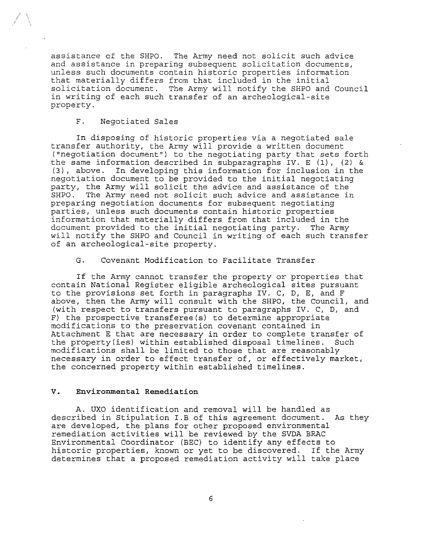assistance of the SHPO. The Army need not solicit such advice and assistance in preparing subsequent solicitation documents, unless such documents contain historic properties information that materially differs from that included in the initial solicitation document. The Army will notify the SHPO and Council in writing of each such transfer of an archeological-site property.

#### F. Negotiated Sales

In disposing of historic properties via a negotiated sale transfer authority, the Army will provide a written document ("negotiation document") to the negotiating party that sets forth the same information described in subparagraphs IV. E (1), (2) & (3), above. In developing this information for inclusion in the negotiation document to be provided to the initial negotiating party, the Army will solicit the advice and assistance of the The Army need not solicit such advice and assistance in preparing negotiation documents for subsequent negotiating parties, unless such documents contain historic properties information that materially differs from that included in the document provided to the initial negotiating party. The Army will notify the SHPO and Council in writing of each such transfer of an archeological-site property.

### G. Covenant Modification to Facilitate Transfer

If the Army cannot transfer the property or properties that contain National Register eligible archeological sites pursuant to the provisions set forth in paragraphs IV. C, D, E, and F above, then the Army will consult with the SHPO, the Council, and (with respect to transfers pursuant to paragraphs IV. C, D, and F) the prospective transferee(s) to determine appropriate modifications to the preservation covenant contained in Attachment E that are necessary in order to complete transfer of the property(ies) within established disposal timelines. Such modifications shall be limited to those that are reasonably necessary in order to effect transfer of, or effectively market, the concerned property within established timelines.

#### *V.* **Environmental Remediation**

A. UXO identification and removal will be handled as described in Stipulation I.B of this agreement document. As they are developed, the plans for other proposed environmental remediation activities will be reviewed by the SVDA BRAC Environmental Coordinator (BEC) to identify any effects to historic properties, known or yet to be discovered. If the Army determines that a proposed remediation activity will take place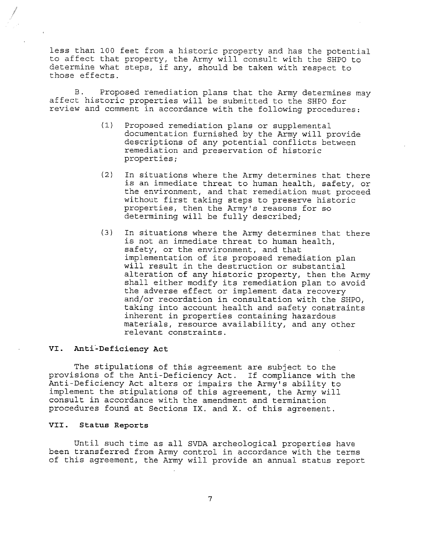less than 100 feet from a historic property and has the potential to affect that property, the Army will consult with the SHPO to determine what steps, if any, should be taken with respect to those effects.

B. Proposed remediation plans that the Army determines may affect historic properties will be submitted to the SHPO for review and comment in accordance with the following procedures:

- (1) Proposed remediation plans or supplemental documentation furnished by the Army will provide descriptions of any potential conflicts between remediation and preservation of historic properties;
- (2) In situations where the Army determines that there is an immediate threat to human health, safety, or the environment, and that remediation must proceed without first taking steps to preserve historic properties, then the Army's reasons for so determining will be fully described;
- (3) In situations where the Army determines that there is not an immediate threat to human health, safety, or the environment, and that implementation of its proposed remediation plan will result in the destruction or substantial alteration of any historic property, then the Army shall either modify its remediation plan to avoid the adverse effect or implement data recovery and/or recordation in consultation with the SHPO, taking into account health and safety constraints inherent in properties containing hazardous materials, resource availability, and any other relevant constraints.

#### **VI. Anti-Deficiency Act**

*i* 

The stipulations of this agreement are subject to the provisions of the Anti-Deficiency Act. If compliance with the Anti-Deficiency Act alters or impairs the Army's ability to implement the stipulations of this agreement, the Army will consult in accordance with the amendment and termination procedures found at Sections IX. and **X.** of this agreement.

#### **VII. Status Reports**

Until such time as all SVDA archeological properties have been transferred from Army control in accordance with the terms of this agreement, the Army will provide an annual status report

7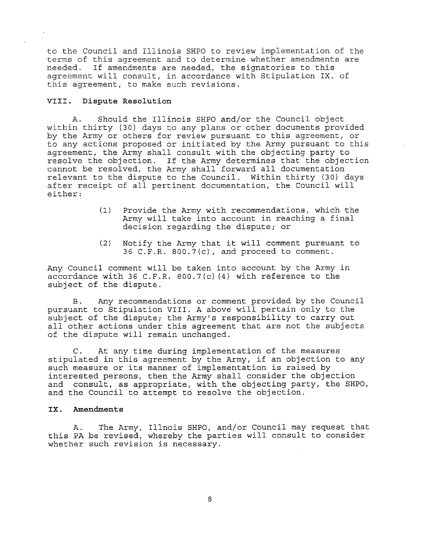to the Council and Illinois SHPO to review implementation of the terms of this agreement and to determine whether amendments are needed. If amendments are needed, the signatories to this agreement will consult, in accordance with Stipulation **IX.** of this agreement, to make such revisions.

### **VIII. Dispute Resolution**

A. Should the Illinois SHPO and/or the Council object within thirty (30) days to any plans or other documents provided by the Army or others for review pursuant to this agreement, or to any actions proposed or initiated by the Army pursuant to this agreement, the Army shall consult with the objecting party to resolve the objection. If the Army determines that the objection cannot be resolved, the Army shall forward all documentation relevant to the dispute to the Council. Within thirty (30) days after receipt of all pertinent documentation, the Council will either:

- (1) Provide the Army with recommendations, which the Army will take into account in reaching a final decision regarding the dispute; or
- (2) Notify the Army that it will comment pursuant to 36 C.F.R. 800.7(c), and proceed to comment.

Any Council comment will be taken into account by the Army in accordance with 36 C.F.R. 800.7(c) (4) with reference to the subject of the dispute.

B. Any recommendations or comment provided by the Council pursuant to Stipulation VIII. A above will pertain only to the subject of the dispute; the Army's responsibility to carry out all other actions under this agreement that are not the subjects of the dispute will remain unchanged.

C. At any time during implementation of the measures stipulated in this agreement by the Army, if an objection to any such measure or its manner of implementation is raised by interested persons, then the Army shall consider the objection and consult, as appropriate, with the objecting party, the SHPO, and the Council to attempt to resolve the objection.

### **IX. Amendments**

A. this PA be revised, whereby the parties will consult to consider ents in se fevised, whetes, the part The Army, Illnois SHPO, and/or Council may request that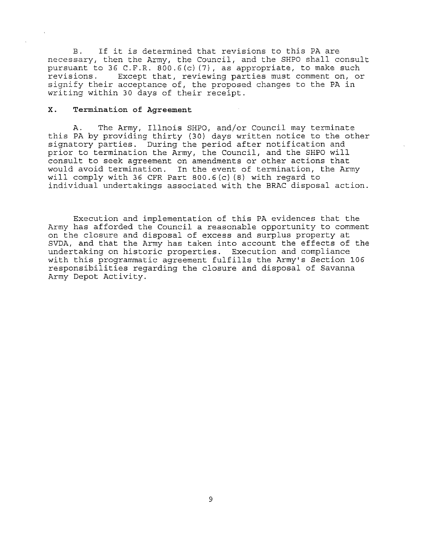B. If it is determined that revisions to this PA are necessary, then the Army, the Council, and the SHPO shall consult pursuant to 36 C.F.R. 800.6(c)(7), as appropriate, to make such revisions. Except that, reviewing parties must comment on, or Except that, reviewing parties must comment on, or signify their acceptance of, the proposed changes to the PA in writing within 30 days of their receipt.

#### **X. Termination of Agreement**

A. The Army, Illnois SHPO, and/or Council may terminate this PA by providing thirty (30) days written notice to the other signatory parties. During the period after notification and prior to termination the Army, the Council, and the SHPO will consult to seek agreement on amendments or other actions that would avoid termination. In the event of termination, the Army will comply with 36 CFR Part 800.6(c) (8) with regard to individual undertakings associated with the BRAC disposal action.

Execution and implementation of this PA evidences that the Army has afforded the Council a reasonable opportunity to comment on the closure and disposal of excess and surplus property at SVDA, and that the Army has taken into account the effects of the undertaking on historic properties. Execution and compliance with this programmatic agreement fulfills the Army's Section 106 responsibilities regarding the closure and disposal of Savanna Army Depot Activity.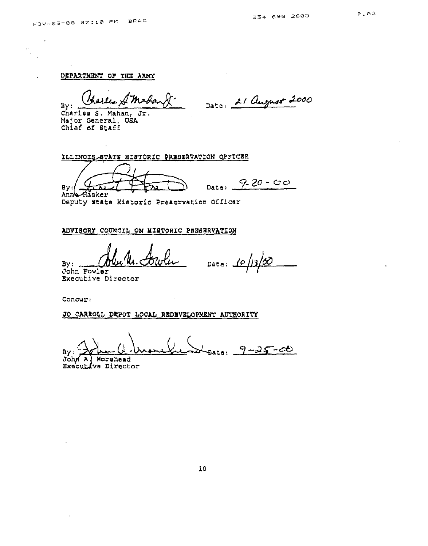$\vec{\phi}$ 

DEPARTMENT OF THE ARDIT

Charles S. Mahan, Jr. Msjor General, USA Chief of Staff

ILLINOIS ATATE HISTORIC PRESERVATION OFFICER

By: <del>Unit Pra D</del> Date: 9-20-00

Aăaker Deputy **state** Historic Preaervation Officar

#### ADVISORY COUNCIL ON MISTORIC PRESERVATION

Date: 10  $\eta_1/\omega$ 

Sy: John Fowler Executive Director

Concur,

 $\mathbf{1}$ 

JO CARROLL DRPOT LOCAL REDBVELOPMENT AUTHORITY

 $9 - 25 - 00$ By.

John A. Morehead Executive Director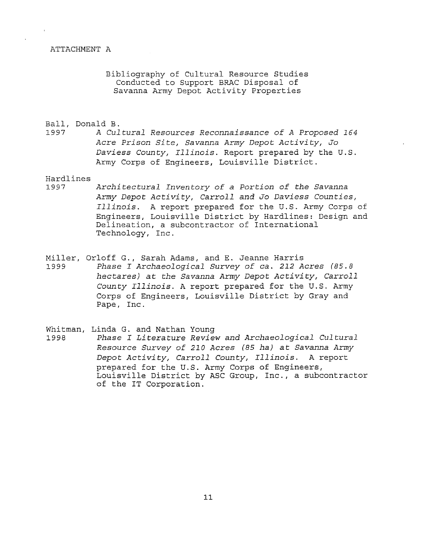#### ATTACHMENT A

Bibliography of Cultural Resource Studies Conducted to Support BRAC Disposal of Savanna Army Depot Activity Properties

# Ball, Donald B.<br>1997 A Cul

1997 *A Cultural* Resources Reconnaissance *of A Proposed 164 Acre Prison Site, Savanna Army Depot Activity, Jo*  Daviess *County, Illinois.* Report prepared by the U.S. Army Corps of Engineers, Louisville District.

# Hardlines

- Architectural Inventory of a Portion of the Savanna *Army Depot Activity, Carroll and Jo Daviess Counties, Illinois.* A report prepared for the U.S. Army Corps of Engineers, Louisville District by Hardlines: Design and Delineation, a subcontractor of International Technology, Inc.
- Miller, Orloff G., Sarah Adams, and E. Jeanne Harris 1999 *Phase I Archaeological Survey of* ca. *212 Acres (85.8 hectares) at the Savanna Army Depot Activity, Carroll County Illinois.* A report prepared for the U.S. Army Corps of Engineers, Louisville District by Gray and Pape, Inc.
- Whitman, Linda G. and Nathan Young
- 1998 *Phase I Literature Review and Archaeological Cultural Resource Survey of 210 Acres (85 ha) at Savanna Army Depot Activity, Carroll County, Illinois.* A report prepared for the U.S. Army Corps of Engineers, Louisville District by ASC Group, Inc., a subcontractor of the IT Corporation.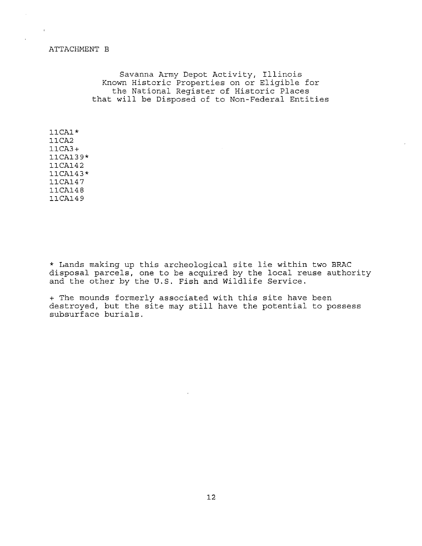#### ATTACHMENT B

Savanna Army Depot Activity, Illinois Known Historic Properties on or Eligible for the National Register of Historic Places that will be Disposed of to Non-Federal Entities

llCAl\* 11CA2 11CA3+ 11CA139\* 11CA142 11CA143\* 11CA147 11CA148 11CA149

\* Lands making up this archeological site lie within two BRAC disposal parcels, one to be acquired by the local reuse authority and the other by the U.S. Fish and Wildlife Service.

+ The mounds formerly associated with this site have been destroyed, but the site may still have the potential to possess subsurface burials.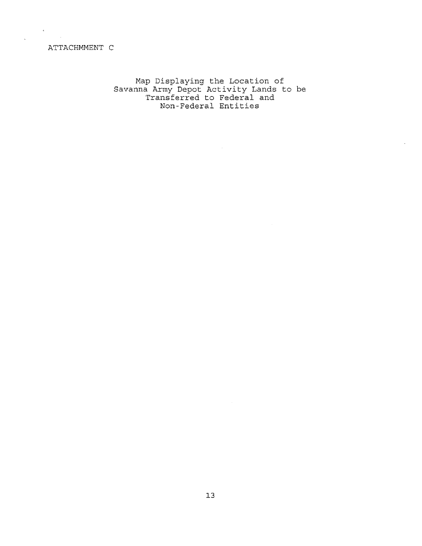# ATTACHMMENT C

Map Displaying the Location of Savanna Army Depot Activity Lands to be Transferred to Federal and Non-Federal Entities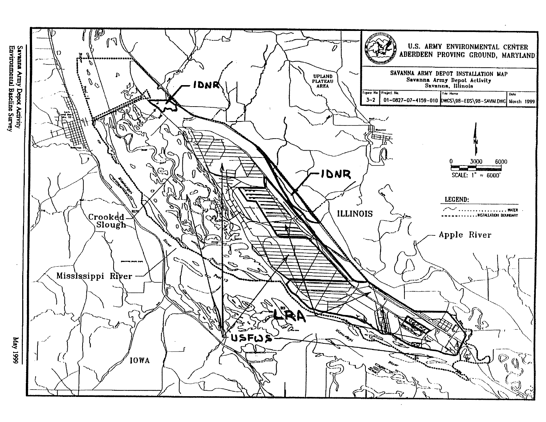

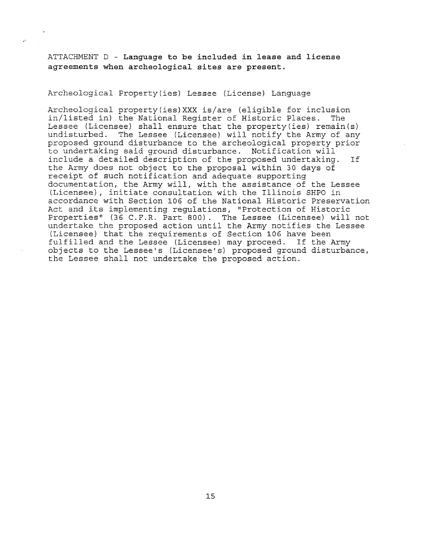ATTACHMENT D - **Language to be included in lease and license agreements when archeological sites are present.** 

Archeological Property(ies) Lessee (License) Language

 $\mathbf{R}^2$ 

Archeological property(ies)XXX is/are (eligible for inclusion<br>in/listed in) the National Register of Historic Places. The in/listed in) the National Reqister of Historic Places. Lessee (Licensee) shall ensure that the property(ies) remain(s) undisturbed. The Lessee (Licensee) will notify the Army of any proposed ground disturbance to the archeological property prior to undertaking said ground disturbance. Notification will include a detailed description of the proposed undertaking. If the Army does not object to the proposal within 30 days of receipt of such notification and adequate supporting documentation, the Army will, with the assistance of the Lessee (Licensee), initiate consultation with the Illinois SHPO in accordance with Section 106 of the National Historic Preservation Act and its implementing regulations, "Protection of Historic Properties" (36 C.F.R. Part 800). The Lessee (Licensee) will not undertake the proposed action until the Army notifies the Lessee (Licensee) that the requirements of Section 106 have been fulfilled and the Lessee (Licensee) may proceed. If the Army objects to the Lessee's (Licensee's) proposed ground disturbance, the Lessee shall not undertake the proposed action.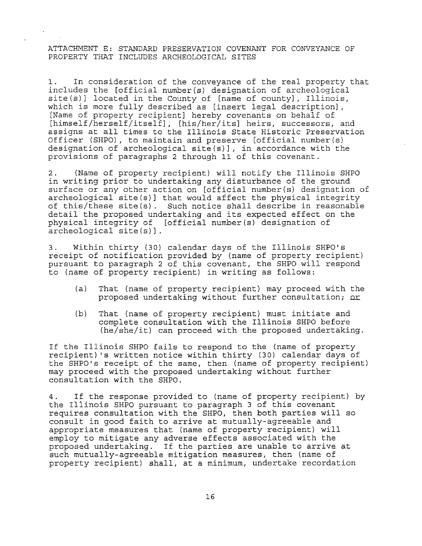ATTACHMENT E: STANDARD PRESERVATION COVENANT FOR CONVEYANCE OF PROPERTY THAT INCLUDES ARCHEOLOGICAL SITES

1. In consideration of the conveyance of the real property that includes the [official number(s) designation of archeological site(s)] located in the County of [name of county], Illinois, which is more fully described as [insert legal description], [Name of property recipient] hereby covenants on behalf of [himself/herself/itself], [his/her/its] heirs, successors, and assigns at all times to the Illinois State Historic Preservation Officer (SHPO), to maintain and preserve [official number(s) designation of archeological site(s)], in accordance with the provisions of paragraphs 2 through 11 of this covenant.

2. (Name of property recipient) will notify the Illinois SHPO in writing prior to undertaking any disturbance of the ground surface or any other action on [official number(s) designation of archeological site(s)] that would affect the physical integrity of this/these site(s). Such notice shall describe in reasonable detail the proposed undertaking and its expected effect on the physical integrity of [official number(s) designation of archeological site(s)].

3. Within thirty (30) calendar days of the Illinois SHPO's receipt of notification provided by (name of property recipient) pursuant to paragraph 2 of this covenant, the SHPO will respond to (name of property recipient) in writing as follows:

- (a) That (name of property recipient) may proceed with the proposed undertaking without further consultation;=
- (b) That (name of property recipient) must initiate and complete consultation with the Illinois SHPO before (he/she/it) can proceed with the proposed undertaking.

If the Illinois SHPO fails to respond to the (name of property recipient) 's written notice within thirty (30) calendar days of the SHPO's receipt of the same, then (name of property recipient) may proceed with the proposed undertaking without further consultation with the SHPO.

4. If the response provided to (name of property recipient) by the Illinois SHPO pursuant to paragraph 3 of this covenant requires consultation with the SHPO, then both parties will so consult in good faith to arrive at mutually-agreeable and appropriate measures that (name of property recipient) will employ to mitigate any adverse effects associated with the proposed undertaking. If the parties are unable to arrive at such mutually-agreeable mitigation measures, then (name of property recipient) shall, at a minimum, undertake recordation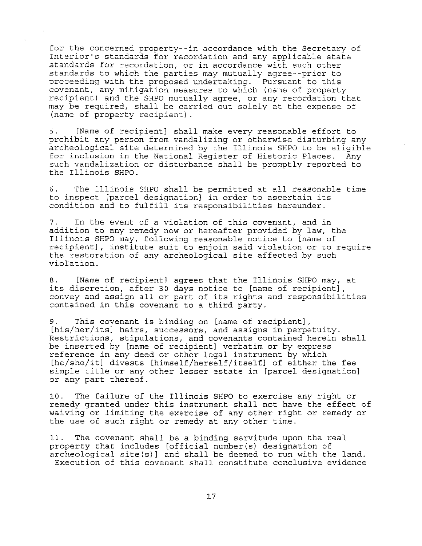for the concerned property--in accordance with the Secretary of Interior's standards for recordation and any applicable state standards for recordation, or in accordance with such other standards to which the parties may mutually agree--prior to proceeding with the proposed undertaking. Pursuant to this covenant, any mitigation measures to which (name of property recipient) and the SHPO mutually agree, or any recordation that may be required, shall be carried out solely at the expense of (name of property recipient).

5. [Name of recipient] shall make every reasonable effort to prohibit any person from vandalizing or otherwise disturbing any archeological site determined by the Illinois SHPO to be eligible for inclusion in the National Register of Historic Places. Any such vandalization or disturbance shall be promptly reported to the Illinois SHPO.

6. The Illinois SHPO shall be permitted at all reasonable time to inspect [parcel designation] in order to ascertain its condition and to fulfill its responsibilities hereunder.

7. In the event of a violation of this covenant, and in addition to any remedy now or hereafter provided by law, the Illinois SHPO may, following reasonable notice to [name of recipient], institute suit to enjoin said violation or to require the restoration of any archeological site affected by such violation.

8. [Name of recipient] agrees that the Illinois SHPO may, at its discretion, after 30 days notice to [name of recipient], convey and assign all or part of its rights and responsibilities contained in this covenant to a third party.

9. This covenant is binding on [name of recipient], [his/her/its] heirs, successors, and assigns in perpetuity. Restrictions, stipulations, and covenants contained herein shall be inserted by [name of recipient] verbatim or by express reference in any deed or other legal instrument by which [he/she/it] divests [himself/herself/itself] of either the fee simple title or any other lesser estate in [parcel designation] or any part thereof.

10. The failure of the Illinois SHPO to exercise any right or remedy granted under this instrument shall not have the effect of waiving or limiting the exercise of any other right or remedy or the use of such right or remedy at any other time.

11. The covenant shall be a binding servitude upon the real property that includes [official number(s) designation of archeological site(s)] and shall be deemed to run with the land. Execution of this covenant shall constitute conclusive evidence